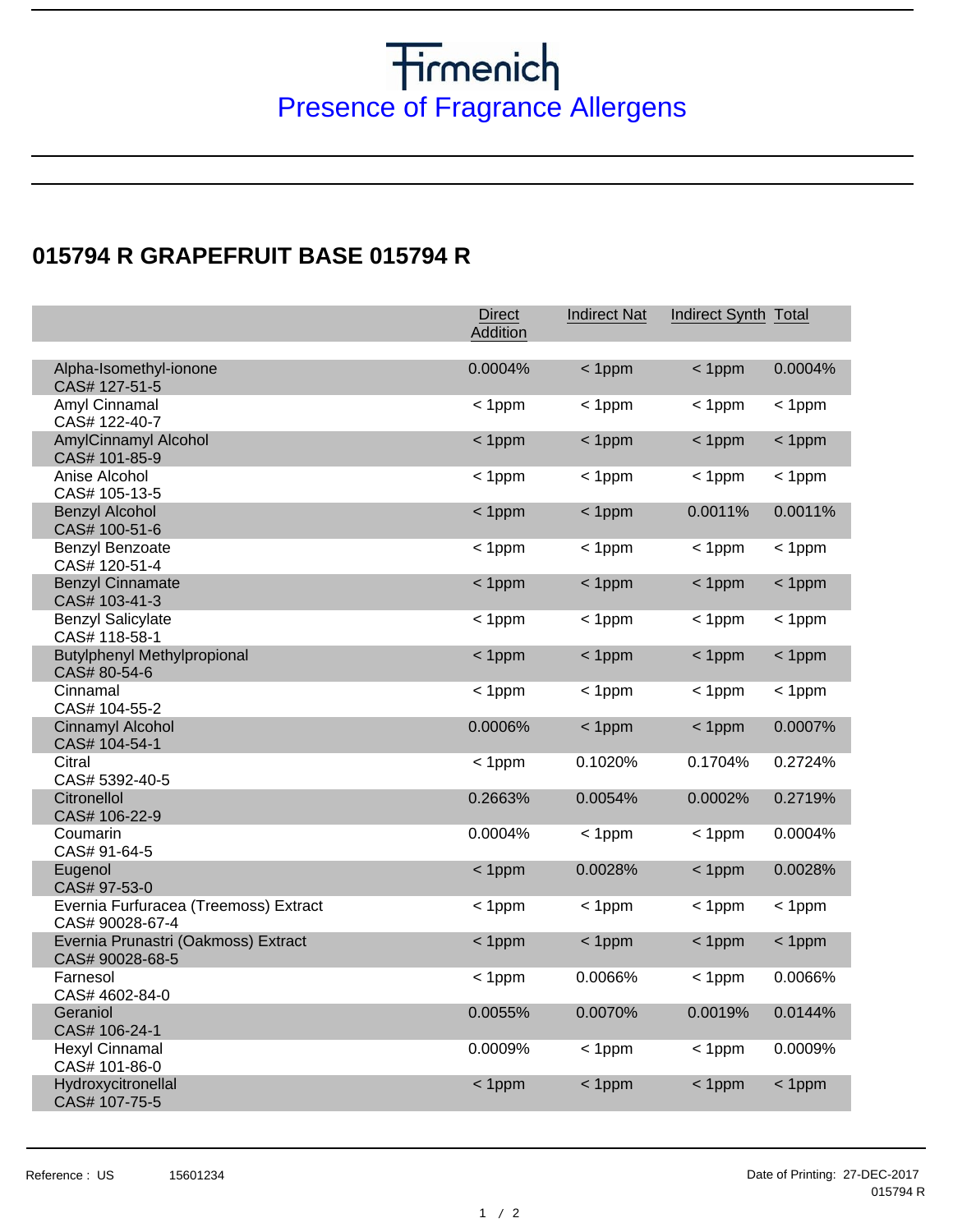## **Fragrance Allergens**<br>Presence of Fragrance Allergens

## **015794 R GRAPEFRUIT BASE 015794 R**

|                                                                                                 | <b>Direct</b><br>Addition | <b>Indirect Nat</b>  | Indirect Synth Total |                      |
|-------------------------------------------------------------------------------------------------|---------------------------|----------------------|----------------------|----------------------|
| Alpha-Isomethyl-ionone<br>CAS# 127-51-5                                                         | 0.0004%                   | $< 1$ ppm            | $< 1$ ppm            | 0.0004%              |
| Amyl Cinnamal<br>CAS# 122-40-7                                                                  | $< 1$ ppm                 | $< 1$ ppm            | $< 1$ ppm            | $< 1$ ppm            |
| <b>AmylCinnamyl Alcohol</b><br>CAS# 101-85-9                                                    | $< 1$ ppm                 | $< 1$ ppm            | $< 1$ ppm            | $< 1$ ppm            |
| Anise Alcohol<br>CAS# 105-13-5                                                                  | $< 1$ ppm                 | $< 1$ ppm            | $<$ 1ppm             | $< 1$ ppm            |
| <b>Benzyl Alcohol</b><br>CAS# 100-51-6                                                          | $< 1$ ppm                 | $< 1$ ppm            | 0.0011%              | 0.0011%              |
| Benzyl Benzoate<br>CAS# 120-51-4                                                                | $< 1$ ppm                 | $< 1$ ppm            | $< 1$ ppm            | $< 1$ ppm            |
| <b>Benzyl Cinnamate</b><br>CAS# 103-41-3                                                        | $< 1$ ppm                 | $< 1$ ppm            | $< 1$ ppm            | $< 1$ ppm            |
| <b>Benzyl Salicylate</b><br>CAS# 118-58-1                                                       | $< 1$ ppm                 | $< 1$ ppm            | $< 1$ ppm            | $< 1$ ppm            |
| <b>Butylphenyl Methylpropional</b><br>CAS# 80-54-6                                              | $< 1$ ppm                 | $< 1$ ppm            | $< 1$ ppm            | $< 1$ ppm            |
| Cinnamal<br>CAS# 104-55-2                                                                       | $< 1$ ppm                 | $< 1$ ppm            | $< 1$ ppm            | < 1ppm               |
| Cinnamyl Alcohol<br>CAS# 104-54-1                                                               | 0.0006%                   | $< 1$ ppm            | $< 1$ ppm            | 0.0007%              |
| Citral<br>CAS# 5392-40-5                                                                        | $< 1$ ppm                 | 0.1020%              | 0.1704%              | 0.2724%              |
| Citronellol<br>CAS# 106-22-9                                                                    | 0.2663%                   | 0.0054%              | 0.0002%              | 0.2719%              |
| Coumarin<br>CAS# 91-64-5<br>Eugenol                                                             | 0.0004%<br>$< 1$ ppm      | $< 1$ ppm<br>0.0028% | $< 1$ ppm            | 0.0004%<br>0.0028%   |
| CAS# 97-53-0                                                                                    |                           |                      | $< 1$ ppm            |                      |
| Evernia Furfuracea (Treemoss) Extract<br>CAS# 90028-67-4<br>Evernia Prunastri (Oakmoss) Extract | $< 1$ ppm                 | $< 1$ ppm            | $< 1$ ppm            | $< 1$ ppm            |
| CAS# 90028-68-5<br>Farnesol                                                                     | $< 1$ ppm                 | $< 1$ ppm<br>0.0066% | $< 1$ ppm            | $< 1$ ppm<br>0.0066% |
| CAS# 4602-84-0                                                                                  | $< 1$ ppm<br>0.0055%      | 0.0070%              | $< 1$ ppm<br>0.0019% | 0.0144%              |
| Geraniol<br>CAS# 106-24-1<br><b>Hexyl Cinnamal</b>                                              |                           |                      |                      |                      |
| CAS# 101-86-0                                                                                   | 0.0009%                   | $< 1$ ppm            | $< 1$ ppm            | 0.0009%              |
| Hydroxycitronellal<br>CAS# 107-75-5                                                             | $< 1$ ppm                 | $< 1$ ppm            | $< 1$ ppm            | $< 1$ ppm            |